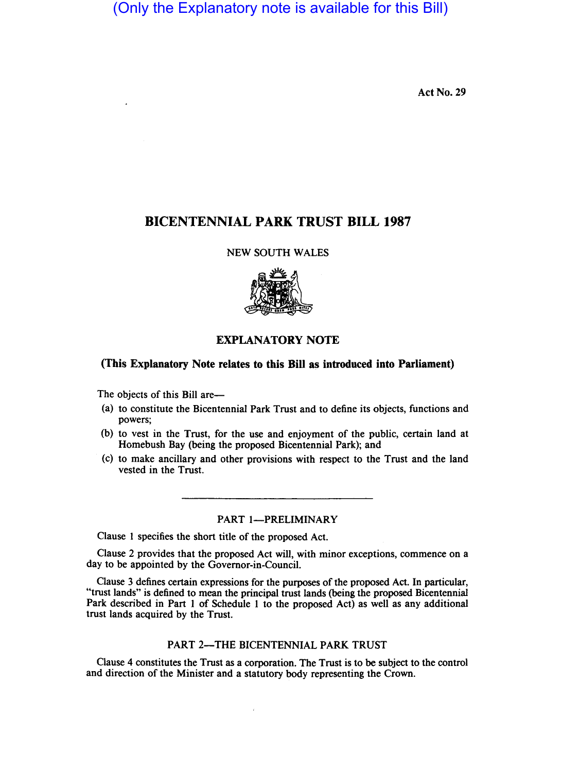(Only the Explanatory note is available for this Bill)

Act No. 29

# **BICENTENNIAL PARK TRUST BILL 1987**

NEW SOUTH WALES



# **EXPLANATORY NOTE**

# **(This Explanatory Note relates to this Bill as introduced into Parliament)**

The objects of this Bill are-

- (a) to constitute the Bicentennial Park Trust and to define its objects, functions and powers;
- (b) to vest in the Trust, for the use and enjoyment of the public, certain land at Homebush Bay (being the proposed Bicentennial Park); and
- (c) to make ancillary and other provisions with respect to the Trust and the land vested in the Trust.

# PART 1-PRELIMINARY

Clause I specifies the short title of the proposed Act.

Clause 2 provides that the proposed Act will, with minor exceptions, commence on a day to be appointed by the Governor-in-Council.

Clause 3 defines certain expressions for the purposes of the proposed Act. In particular, "trust lands" is defined to mean the principal trust lands (being the proposed Bicentennial Park described in Part I of Schedule I to the proposed Act) as well as any additional trust lands acquired by the Trust.

### PART 2-THE BICENTENNIAL PARK TRUST

Clause 4 constitutes the Trust as a corporation. The Trust is to be subject to the control and direction of the Minister and a statutory body representing the Crown.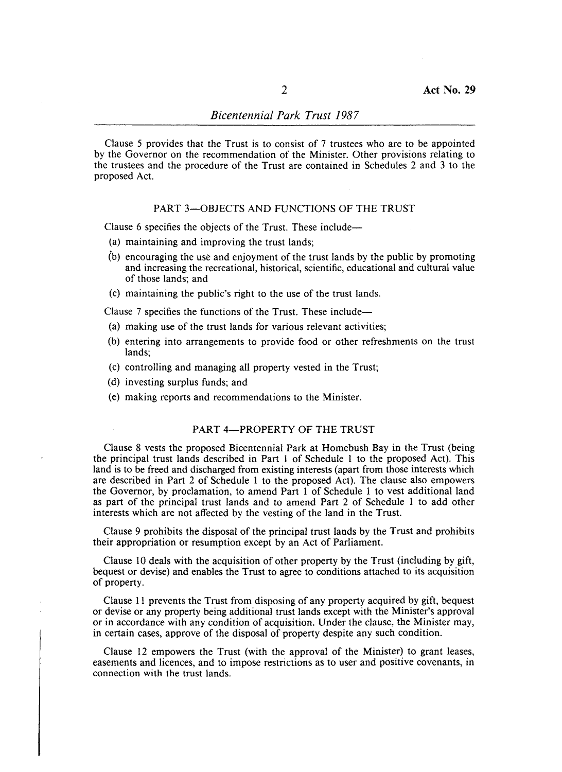Clause 5 provides that the Trust is to consist of 7 trustees who are to be appointed by the Governor on the recommendation of the Minister. Other provisions relating to the trustees and the procedure of the Trust are contained in Schedules 2 and 3 to the proposed Act.

#### PART 3-OBJECTS AND FUNCTIONS OF THE TRUST

Clause 6 specifies the objects of the Trust. These include-

- (a) maintaining and improving the trust lands;
- (b) encouraging the use and enjoyment of the trust lands by the public by promoting and increasing the recreational, historical, scientific, educational and cultural value of those lands; and
- (c) maintaining the public's right to the use of the trust lands.

Clause 7 specifies the functions of the Trust. These include-

- (a) making use of the trust lands for various relevant activities;
- (b) entering into arrangements to provide food or other refreshments on the trust lands;
- (c) controlling and managing all property vested in the Trust;
- (d) investing surplus funds; and
- (e) making reports and recommendations to the Minister.

#### PART 4-PROPERTY OF THE TRUST

Clause 8 vests the proposed Bicentennial Park at Homebush Bay in the Trust (being the principal trust lands described in Part I of Schedule 1 to the proposed Act). This land is to be freed and discharged from existing interests (apart from those interests which are described in Part 2 of Schedule 1 to the proposed Act). The clause also empowers the Governor, by proclamation, to amend Part I of Schedule 1 to vest additional land as part of the principal trust lands and to amend Part 2 of Schedule 1 to add other interests which are not affected by the vesting of the land in the Trust.

Clause 9 prohibits the disposal of the principal trust lands by the Trust and prohibits their appropriation or resumption except by an Act of Parliament.

Clause 10 deals with the acquisition of other property by the Trust (including by gift, bequest or devise) and enables the Trust to agree to conditions attached to its acquisition of property.

Clause 11 prevents the Trust from disposing of any property acquired by gift, bequest or devise or any property being additional trust lands except with the Minister's approval or in accordance with any condition of acquisition. Under the clause, the Minister may, in certain cases, approve of the disposal of property despite any such condition.

Clause 12 empowers the Trust (with the approval of the Minister) to grant leases, easements and licences, and to impose restrictions as to user and positive covenants, in connection with the trust lands.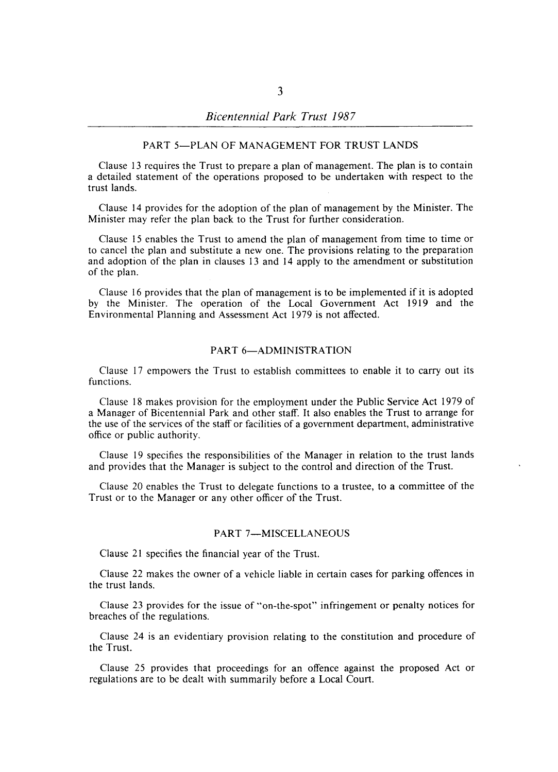#### PART 5-PLAN OF MANAGEMENT FOR TRUST LANDS

Clause 13 requires the Trust to prepare a plan of management. The plan is to contain a detailed statement of the operations proposed to be undertaken with respect to the trust lands.

Clause 14 provides for the adoption of the plan of management by the Minister. The Minister may refer the plan back to the Trust for further consideration.

Clause 15 enables the Trust to amend the plan of management from time to time or to cancel the plan and substitute a new one. The provisions relating to the preparation and adoption of the plan in clauses 13 and 14 apply to the amendment or substitution of the plan.

Clause 16 provides that the plan of management is to be implemented if it is adopted by the Minister. The operation of the Local Government Act 1919 and the Environmental Planning and Assessment Act 1979 is not affected.

## PART 6-ADMINISTRATION

Clause 17 empowers the Trust to establish committees to enable it to carry out its functions.

Clause 18 makes provision for the employment under the Public Service Act 1979 of a Manager of Bicentennial Park and other staff. It also enables the Trust to arrange for the use of the services of the staff or facilities of a government department, administrative office or public authority.

Clause 19 specifies the responsibilities of the Manager in relation to the trust lands and provides that the Manager is subject to the control and direction of the Trust.

Clause 20 enables the Trust to delegate functions to a trustee, to a committee of the Trust or to the Manager or any other officer of the Trust.

#### PART 7-MISCELLANEOUS

Clause 21 specifies the financial year of the Trust.

Clause 22 makes the owner of a vehicle liable in certain cases for parking offences in the trust lands.

Clause 23 provides for the issue of "on-the-spot" infringement or penalty notices for breaches of the regulations.

Clause 24 is an evidentiary provision relating to the constitution and procedure of the Trust.

Clause 25 provides that proceedings for an offence against the proposed Act or regulations are to be dealt with summarily before a Local Court.